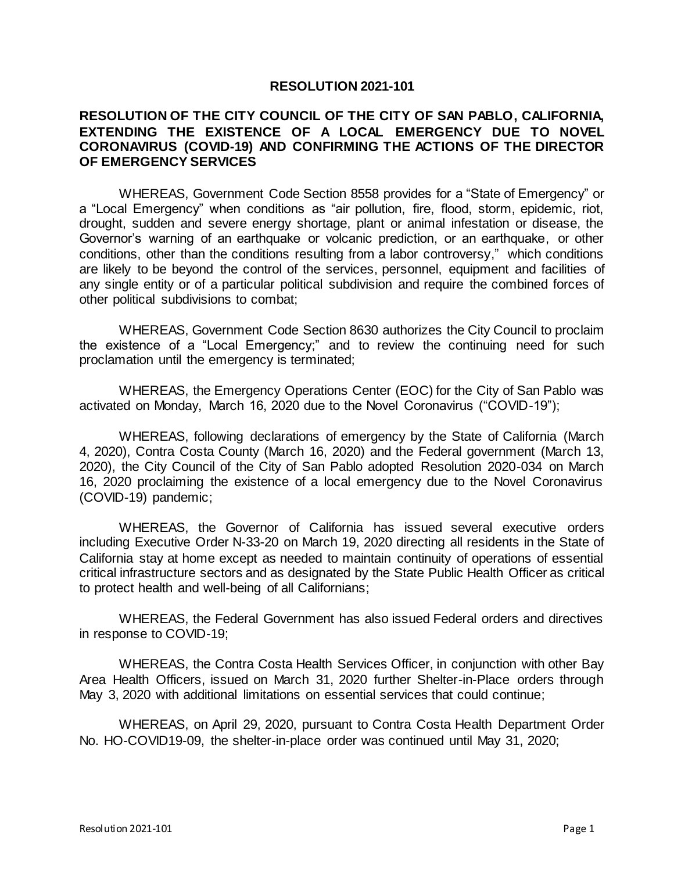## **RESOLUTION 2021-101**

## **RESOLUTION OF THE CITY COUNCIL OF THE CITY OF SAN PABLO, CALIFORNIA, EXTENDING THE EXISTENCE OF A LOCAL EMERGENCY DUE TO NOVEL CORONAVIRUS (COVID-19) AND CONFIRMING THE ACTIONS OF THE DIRECTOR OF EMERGENCY SERVICES**

WHEREAS, Government Code Section 8558 provides for a "State of Emergency" or a "Local Emergency" when conditions as "air pollution, fire, flood, storm, epidemic, riot, drought, sudden and severe energy shortage, plant or animal infestation or disease, the Governor's warning of an earthquake or volcanic prediction, or an earthquake, or other conditions, other than the conditions resulting from a labor controversy," which conditions are likely to be beyond the control of the services, personnel, equipment and facilities of any single entity or of a particular political subdivision and require the combined forces of other political subdivisions to combat;

WHEREAS, Government Code Section 8630 authorizes the City Council to proclaim the existence of a "Local Emergency;" and to review the continuing need for such proclamation until the emergency is terminated;

WHEREAS, the Emergency Operations Center (EOC) for the City of San Pablo was activated on Monday, March 16, 2020 due to the Novel Coronavirus ("COVID-19");

WHEREAS, following declarations of emergency by the State of California (March 4, 2020), Contra Costa County (March 16, 2020) and the Federal government (March 13, 2020), the City Council of the City of San Pablo adopted Resolution 2020-034 on March 16, 2020 proclaiming the existence of a local emergency due to the Novel Coronavirus (COVID-19) pandemic;

WHEREAS, the Governor of California has issued several executive orders including Executive Order N-33-20 on March 19, 2020 directing all residents in the State of California stay at home except as needed to maintain continuity of operations of essential critical infrastructure sectors and as designated by the State Public Health Officer as critical to protect health and well-being of all Californians;

WHEREAS, the Federal Government has also issued Federal orders and directives in response to COVID-19;

WHEREAS, the Contra Costa Health Services Officer, in conjunction with other Bay Area Health Officers, issued on March 31, 2020 further Shelter-in-Place orders through May 3, 2020 with additional limitations on essential services that could continue;

WHEREAS, on April 29, 2020, pursuant to Contra Costa Health Department Order No. HO-COVID19-09, the shelter-in-place order was continued until May 31, 2020;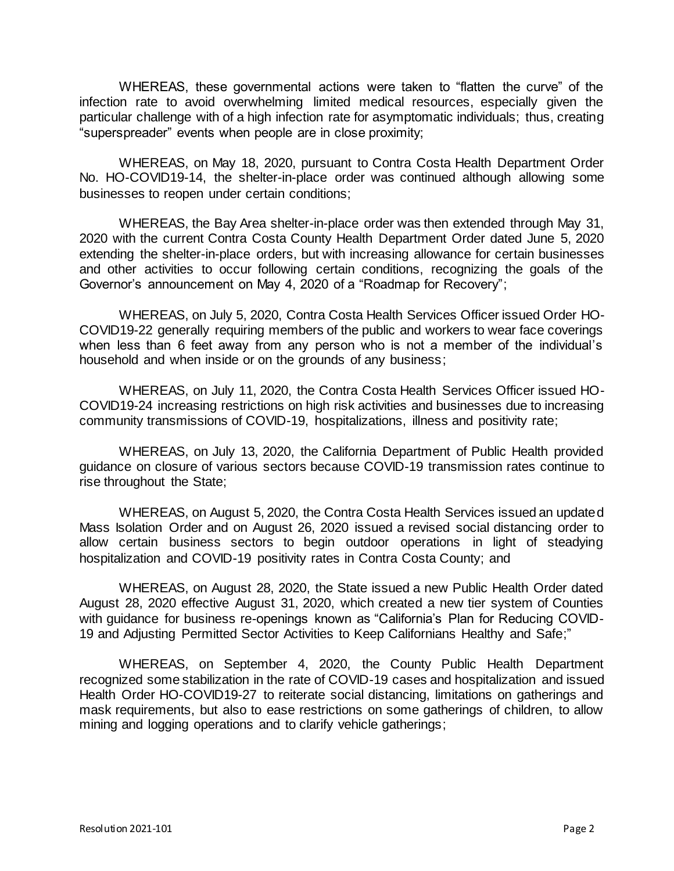WHEREAS, these governmental actions were taken to "flatten the curve" of the infection rate to avoid overwhelming limited medical resources, especially given the particular challenge with of a high infection rate for asymptomatic individuals; thus, creating "superspreader" events when people are in close proximity;

WHEREAS, on May 18, 2020, pursuant to Contra Costa Health Department Order No. HO-COVID19-14, the shelter-in-place order was continued although allowing some businesses to reopen under certain conditions;

WHEREAS, the Bay Area shelter-in-place order was then extended through May 31, 2020 with the current Contra Costa County Health Department Order dated June 5, 2020 extending the shelter-in-place orders, but with increasing allowance for certain businesses and other activities to occur following certain conditions, recognizing the goals of the Governor's announcement on May 4, 2020 of a "Roadmap for Recovery";

WHEREAS, on July 5, 2020, Contra Costa Health Services Officer issued Order HO-COVID19-22 generally requiring members of the public and workers to wear face coverings when less than 6 feet away from any person who is not a member of the individual's household and when inside or on the grounds of any business;

WHEREAS, on July 11, 2020, the Contra Costa Health Services Officer issued HO-COVID19-24 increasing restrictions on high risk activities and businesses due to increasing community transmissions of COVID-19, hospitalizations, illness and positivity rate;

WHEREAS, on July 13, 2020, the California Department of Public Health provided guidance on closure of various sectors because COVID-19 transmission rates continue to rise throughout the State;

WHEREAS, on August 5, 2020, the Contra Costa Health Services issued an updated Mass Isolation Order and on August 26, 2020 issued a revised social distancing order to allow certain business sectors to begin outdoor operations in light of steadying hospitalization and COVID-19 positivity rates in Contra Costa County; and

WHEREAS, on August 28, 2020, the State issued a new Public Health Order dated August 28, 2020 effective August 31, 2020, which created a new tier system of Counties with guidance for business re-openings known as "California's Plan for Reducing COVID-19 and Adjusting Permitted Sector Activities to Keep Californians Healthy and Safe;"

WHEREAS, on September 4, 2020, the County Public Health Department recognized some stabilization in the rate of COVID-19 cases and hospitalization and issued Health Order HO-COVID19-27 to reiterate social distancing, limitations on gatherings and mask requirements, but also to ease restrictions on some gatherings of children, to allow mining and logging operations and to clarify vehicle gatherings;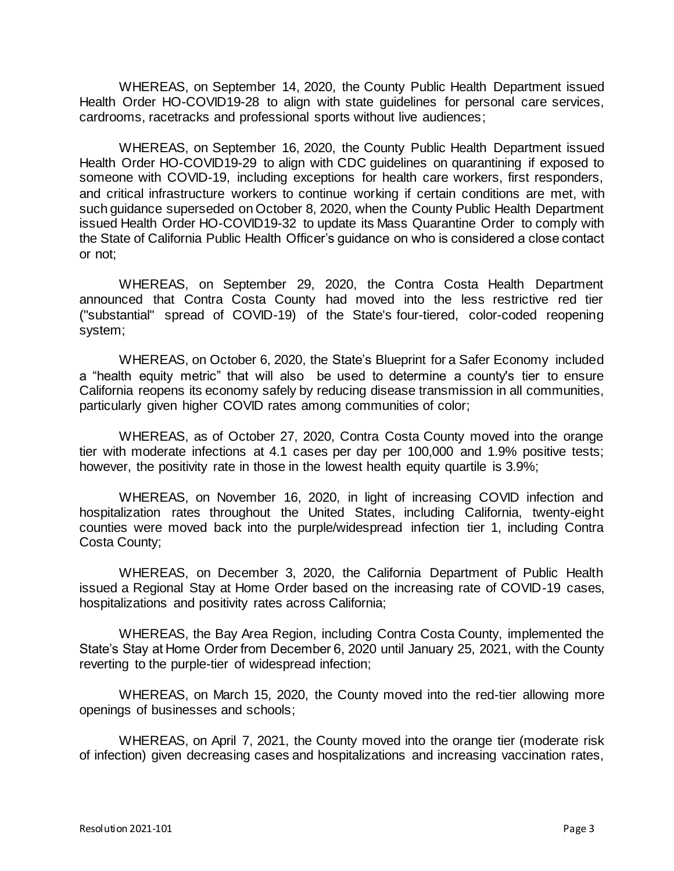WHEREAS, on September 14, 2020, the County Public Health Department issued Health Order HO-COVID19-28 to align with state guidelines for personal care services, cardrooms, racetracks and professional sports without live audiences;

WHEREAS, on September 16, 2020, the County Public Health Department issued Health Order HO-COVID19-29 to align with CDC guidelines on quarantining if exposed to someone with COVID-19, including exceptions for health care workers, first responders, and critical infrastructure workers to continue working if certain conditions are met, with such guidance superseded on October 8, 2020, when the County Public Health Department issued Health Order HO-COVID19-32 to update its Mass Quarantine Order to comply with the State of California Public Health Officer's guidance on who is considered a close contact or not;

WHEREAS, on September 29, 2020, the Contra Costa Health Department announced that Contra Costa County had moved into the less restrictive red tier ("substantial" spread of COVID-19) of the State's [four-tiered, color-coded reopening](https://covid19.ca.gov/safer-economy/)  [system;](https://covid19.ca.gov/safer-economy/)

WHEREAS, on October 6, 2020, the State's [Blueprint for a Safer Economy](https://www.cdph.ca.gov/Programs/CID/DCDC/Pages/COVID-19/COVID19CountyMonitoringOverview.aspx) included a "health equity metric" that will also be used to determine a county's tier to ensure California reopens its economy safely by reducing disease transmission in all communities, particularly given higher COVID rates among communities of color;

WHEREAS, as of October 27, 2020, Contra Costa County moved into the orange tier with moderate infections at 4.1 cases per day per 100,000 and 1.9% positive tests; however, the positivity rate in those in the lowest health equity quartile is 3.9%;

WHEREAS, on November 16, 2020, in light of increasing COVID infection and hospitalization rates throughout the United States, including California, twenty-eight counties were moved back into the purple/widespread infection tier 1, including Contra Costa County;

WHEREAS, on December 3, 2020, the California Department of Public Health issued a Regional Stay at Home Order based on the increasing rate of COVID-19 cases, hospitalizations and positivity rates across California;

WHEREAS, the Bay Area Region, including Contra Costa County, implemented the State's Stay at Home Order from December 6, 2020 until January 25, 2021, with the County reverting to the purple-tier of widespread infection;

WHEREAS, on March 15, 2020, the County moved into the red-tier allowing more openings of businesses and schools;

WHEREAS, on April 7, 2021, the County moved into the orange tier (moderate risk of infection) given decreasing cases and hospitalizations and increasing vaccination rates,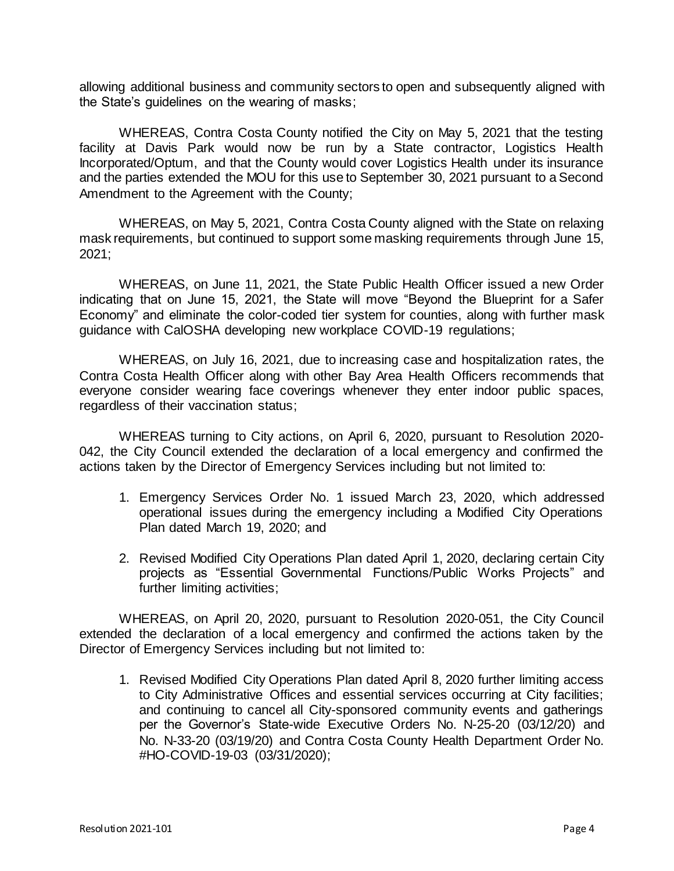allowing additional business and community sectors to open and subsequently aligned with the State's guidelines on the wearing of masks;

WHEREAS, Contra Costa County notified the City on May 5, 2021 that the testing facility at Davis Park would now be run by a State contractor, Logistics Health Incorporated/Optum, and that the County would cover Logistics Health under its insurance and the parties extended the MOU for this use to September 30, 2021 pursuant to a Second Amendment to the Agreement with the County;

WHEREAS, on May 5, 2021, Contra Costa County aligned with the State on relaxing mask requirements, but continued to support some masking requirements through June 15, 2021;

WHEREAS, on June 11, 2021, the State Public Health Officer issued a new Order indicating that on June 15, 2021, the State will move "Beyond the Blueprint for a Safer Economy" and eliminate the color-coded tier system for counties, along with further mask guidance with CalOSHA developing new workplace COVID-19 regulations;

WHEREAS, on July 16, 2021, due to increasing case and hospitalization rates, the Contra Costa Health Officer along with other Bay Area Health Officers recommends that everyone consider wearing face coverings whenever they enter indoor public spaces, regardless of their vaccination status;

WHEREAS turning to City actions, on April 6, 2020, pursuant to Resolution 2020- 042, the City Council extended the declaration of a local emergency and confirmed the actions taken by the Director of Emergency Services including but not limited to:

- 1. Emergency Services Order No. 1 issued March 23, 2020, which addressed operational issues during the emergency including a Modified City Operations Plan dated March 19, 2020; and
- 2. Revised Modified City Operations Plan dated April 1, 2020, declaring certain City projects as "Essential Governmental Functions/Public Works Projects" and further limiting activities;

WHEREAS, on April 20, 2020, pursuant to Resolution 2020-051, the City Council extended the declaration of a local emergency and confirmed the actions taken by the Director of Emergency Services including but not limited to:

1. Revised Modified City Operations Plan dated April 8, 2020 further limiting access to City Administrative Offices and essential services occurring at City facilities; and continuing to cancel all City-sponsored community events and gatherings per the Governor's State-wide Executive Orders No. N-25-20 (03/12/20) and No. N-33-20 (03/19/20) and Contra Costa County Health Department Order No. #HO-COVID-19-03 (03/31/2020);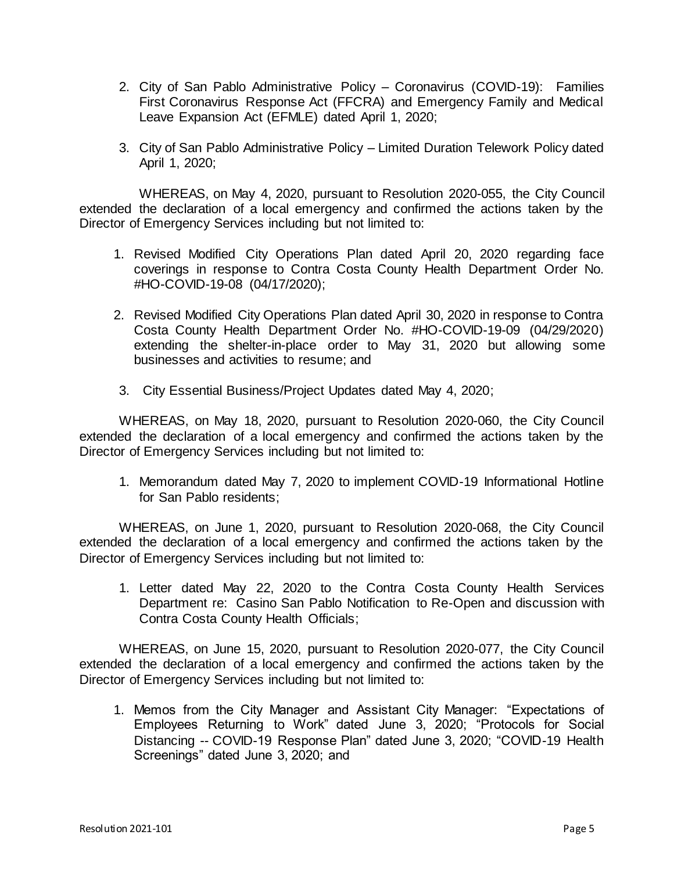- 2. City of San Pablo Administrative Policy Coronavirus (COVID-19): Families First Coronavirus Response Act (FFCRA) and Emergency Family and Medical Leave Expansion Act (EFMLE) dated April 1, 2020;
- 3. City of San Pablo Administrative Policy Limited Duration Telework Policy dated April 1, 2020;

WHEREAS, on May 4, 2020, pursuant to Resolution 2020-055, the City Council extended the declaration of a local emergency and confirmed the actions taken by the Director of Emergency Services including but not limited to:

- 1. Revised Modified City Operations Plan dated April 20, 2020 regarding face coverings in response to Contra Costa County Health Department Order No. #HO-COVID-19-08 (04/17/2020);
- 2. Revised Modified City Operations Plan dated April 30, 2020 in response to Contra Costa County Health Department Order No. #HO-COVID-19-09 (04/29/2020) extending the shelter-in-place order to May 31, 2020 but allowing some businesses and activities to resume; and
- 3. City Essential Business/Project Updates dated May 4, 2020;

WHEREAS, on May 18, 2020, pursuant to Resolution 2020-060, the City Council extended the declaration of a local emergency and confirmed the actions taken by the Director of Emergency Services including but not limited to:

1. Memorandum dated May 7, 2020 to implement COVID-19 Informational Hotline for San Pablo residents;

WHEREAS, on June 1, 2020, pursuant to Resolution 2020-068, the City Council extended the declaration of a local emergency and confirmed the actions taken by the Director of Emergency Services including but not limited to:

1. Letter dated May 22, 2020 to the Contra Costa County Health Services Department re: Casino San Pablo Notification to Re-Open and discussion with Contra Costa County Health Officials;

WHEREAS, on June 15, 2020, pursuant to Resolution 2020-077, the City Council extended the declaration of a local emergency and confirmed the actions taken by the Director of Emergency Services including but not limited to:

1. Memos from the City Manager and Assistant City Manager: "Expectations of Employees Returning to Work" dated June 3, 2020; "Protocols for Social Distancing -- COVID-19 Response Plan" dated June 3, 2020; "COVID-19 Health Screenings" dated June 3, 2020; and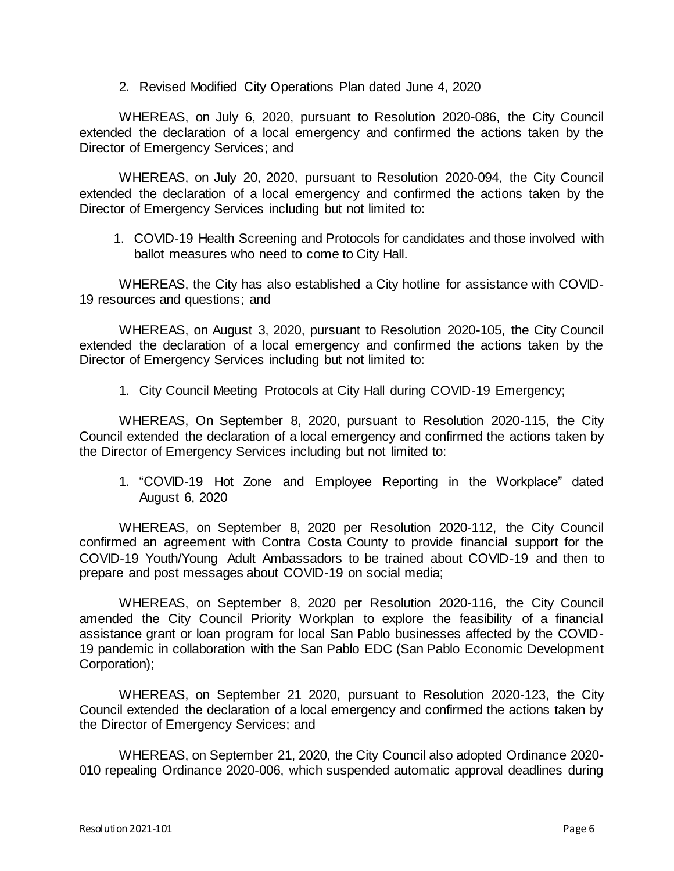2. Revised Modified City Operations Plan dated June 4, 2020

WHEREAS, on July 6, 2020, pursuant to Resolution 2020-086, the City Council extended the declaration of a local emergency and confirmed the actions taken by the Director of Emergency Services; and

WHEREAS, on July 20, 2020, pursuant to Resolution 2020-094, the City Council extended the declaration of a local emergency and confirmed the actions taken by the Director of Emergency Services including but not limited to:

1. COVID-19 Health Screening and Protocols for candidates and those involved with ballot measures who need to come to City Hall.

WHEREAS, the City has also established a City hotline for assistance with COVID-19 resources and questions; and

WHEREAS, on August 3, 2020, pursuant to Resolution 2020-105, the City Council extended the declaration of a local emergency and confirmed the actions taken by the Director of Emergency Services including but not limited to:

1. City Council Meeting Protocols at City Hall during COVID-19 Emergency;

WHEREAS, On September 8, 2020, pursuant to Resolution 2020-115, the City Council extended the declaration of a local emergency and confirmed the actions taken by the Director of Emergency Services including but not limited to:

1. "COVID-19 Hot Zone and Employee Reporting in the Workplace" dated August 6, 2020

WHEREAS, on September 8, 2020 per Resolution 2020-112, the City Council confirmed an agreement with Contra Costa County to provide financial support for the COVID-19 Youth/Young Adult Ambassadors to be trained about COVID-19 and then to prepare and post messages about COVID-19 on social media;

WHEREAS, on September 8, 2020 per Resolution 2020-116, the City Council amended the City Council Priority Workplan to explore the feasibility of a financial assistance grant or loan program for local San Pablo businesses affected by the COVID-19 pandemic in collaboration with the San Pablo EDC (San Pablo Economic Development Corporation);

WHEREAS, on September 21 2020, pursuant to Resolution 2020-123, the City Council extended the declaration of a local emergency and confirmed the actions taken by the Director of Emergency Services; and

WHEREAS, on September 21, 2020, the City Council also adopted Ordinance 2020- 010 repealing Ordinance 2020-006, which suspended automatic approval deadlines during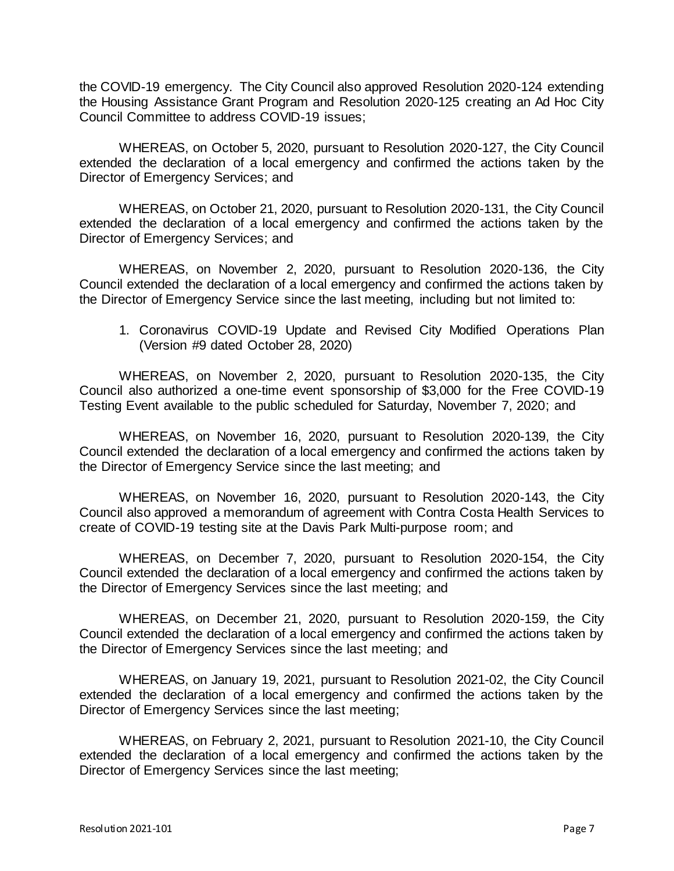the COVID-19 emergency. The City Council also approved Resolution 2020-124 extending the Housing Assistance Grant Program and Resolution 2020-125 creating an Ad Hoc City Council Committee to address COVID-19 issues;

WHEREAS, on October 5, 2020, pursuant to Resolution 2020-127, the City Council extended the declaration of a local emergency and confirmed the actions taken by the Director of Emergency Services; and

WHEREAS, on October 21, 2020, pursuant to Resolution 2020-131, the City Council extended the declaration of a local emergency and confirmed the actions taken by the Director of Emergency Services; and

WHEREAS, on November 2, 2020, pursuant to Resolution 2020-136, the City Council extended the declaration of a local emergency and confirmed the actions taken by the Director of Emergency Service since the last meeting, including but not limited to:

1. Coronavirus COVID-19 Update and Revised City Modified Operations Plan (Version #9 dated October 28, 2020)

WHEREAS, on November 2, 2020, pursuant to Resolution 2020-135, the City Council also authorized a one-time event sponsorship of \$3,000 for the Free COVID-19 Testing Event available to the public scheduled for Saturday, November 7, 2020; and

WHEREAS, on November 16, 2020, pursuant to Resolution 2020-139, the City Council extended the declaration of a local emergency and confirmed the actions taken by the Director of Emergency Service since the last meeting; and

WHEREAS, on November 16, 2020, pursuant to Resolution 2020-143, the City Council also approved a memorandum of agreement with Contra Costa Health Services to create of COVID-19 testing site at the Davis Park Multi-purpose room; and

WHEREAS, on December 7, 2020, pursuant to Resolution 2020-154, the City Council extended the declaration of a local emergency and confirmed the actions taken by the Director of Emergency Services since the last meeting; and

WHEREAS, on December 21, 2020, pursuant to Resolution 2020-159, the City Council extended the declaration of a local emergency and confirmed the actions taken by the Director of Emergency Services since the last meeting; and

WHEREAS, on January 19, 2021, pursuant to Resolution 2021-02, the City Council extended the declaration of a local emergency and confirmed the actions taken by the Director of Emergency Services since the last meeting;

WHEREAS, on February 2, 2021, pursuant to Resolution 2021-10, the City Council extended the declaration of a local emergency and confirmed the actions taken by the Director of Emergency Services since the last meeting;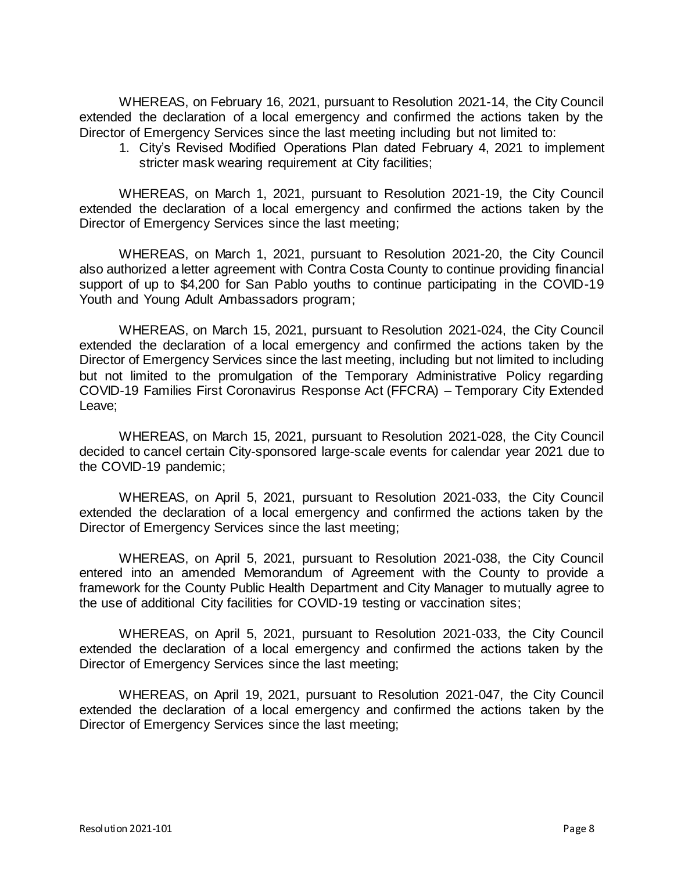WHEREAS, on February 16, 2021, pursuant to Resolution 2021-14, the City Council extended the declaration of a local emergency and confirmed the actions taken by the Director of Emergency Services since the last meeting including but not limited to:

1. City's Revised Modified Operations Plan dated February 4, 2021 to implement stricter mask wearing requirement at City facilities;

WHEREAS, on March 1, 2021, pursuant to Resolution 2021-19, the City Council extended the declaration of a local emergency and confirmed the actions taken by the Director of Emergency Services since the last meeting;

WHEREAS, on March 1, 2021, pursuant to Resolution 2021-20, the City Council also authorized a letter agreement with Contra Costa County to continue providing financial support of up to \$4,200 for San Pablo youths to continue participating in the COVID-19 Youth and Young Adult Ambassadors program;

WHEREAS, on March 15, 2021, pursuant to Resolution 2021-024, the City Council extended the declaration of a local emergency and confirmed the actions taken by the Director of Emergency Services since the last meeting, including but not limited to including but not limited to the promulgation of the Temporary Administrative Policy regarding COVID-19 Families First Coronavirus Response Act (FFCRA) – Temporary City Extended Leave;

WHEREAS, on March 15, 2021, pursuant to Resolution 2021-028, the City Council decided to cancel certain City-sponsored large-scale events for calendar year 2021 due to the COVID-19 pandemic;

WHEREAS, on April 5, 2021, pursuant to Resolution 2021-033, the City Council extended the declaration of a local emergency and confirmed the actions taken by the Director of Emergency Services since the last meeting;

WHEREAS, on April 5, 2021, pursuant to Resolution 2021-038, the City Council entered into an amended Memorandum of Agreement with the County to provide a framework for the County Public Health Department and City Manager to mutually agree to the use of additional City facilities for COVID-19 testing or vaccination sites;

WHEREAS, on April 5, 2021, pursuant to Resolution 2021-033, the City Council extended the declaration of a local emergency and confirmed the actions taken by the Director of Emergency Services since the last meeting;

WHEREAS, on April 19, 2021, pursuant to Resolution 2021-047, the City Council extended the declaration of a local emergency and confirmed the actions taken by the Director of Emergency Services since the last meeting;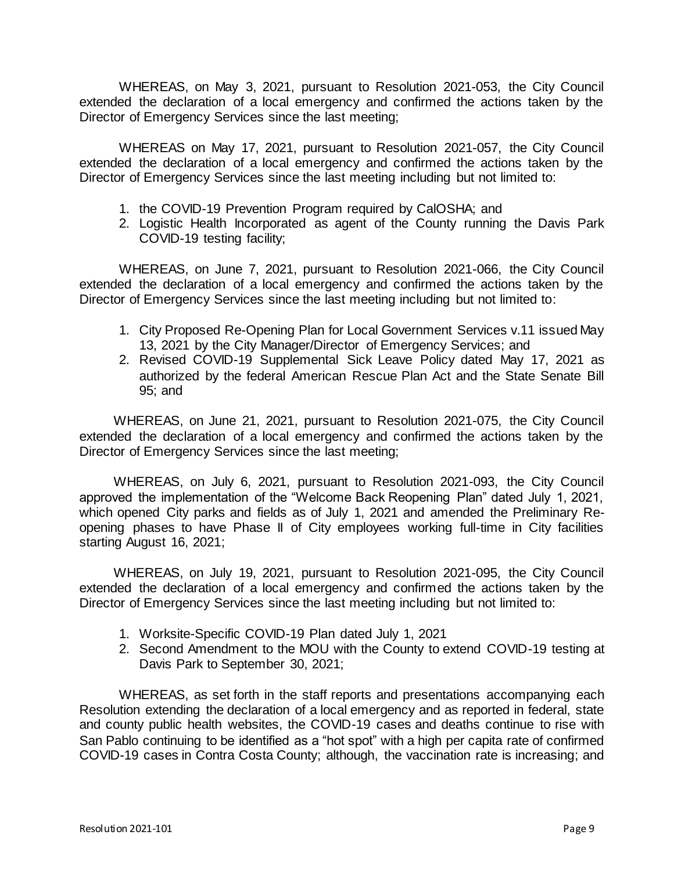WHEREAS, on May 3, 2021, pursuant to Resolution 2021-053, the City Council extended the declaration of a local emergency and confirmed the actions taken by the Director of Emergency Services since the last meeting;

WHEREAS on May 17, 2021, pursuant to Resolution 2021-057, the City Council extended the declaration of a local emergency and confirmed the actions taken by the Director of Emergency Services since the last meeting including but not limited to:

- 1. the COVID-19 Prevention Program required by CalOSHA; and
- 2. Logistic Health Incorporated as agent of the County running the Davis Park COVID-19 testing facility;

WHEREAS, on June 7, 2021, pursuant to Resolution 2021-066, the City Council extended the declaration of a local emergency and confirmed the actions taken by the Director of Emergency Services since the last meeting including but not limited to:

- 1. City Proposed Re-Opening Plan for Local Government Services v.11 issued May 13, 2021 by the City Manager/Director of Emergency Services; and
- 2. Revised COVID-19 Supplemental Sick Leave Policy dated May 17, 2021 as authorized by the federal American Rescue Plan Act and the State Senate Bill 95; and

WHEREAS, on June 21, 2021, pursuant to Resolution 2021-075, the City Council extended the declaration of a local emergency and confirmed the actions taken by the Director of Emergency Services since the last meeting;

WHEREAS, on July 6, 2021, pursuant to Resolution 2021-093, the City Council approved the implementation of the "Welcome Back Reopening Plan" dated July 1, 2021, which opened City parks and fields as of July 1, 2021 and amended the Preliminary Reopening phases to have Phase II of City employees working full-time in City facilities starting August 16, 2021;

WHEREAS, on July 19, 2021, pursuant to Resolution 2021-095, the City Council extended the declaration of a local emergency and confirmed the actions taken by the Director of Emergency Services since the last meeting including but not limited to:

- 1. Worksite-Specific COVID-19 Plan dated July 1, 2021
- 2. Second Amendment to the MOU with the County to extend COVID-19 testing at Davis Park to September 30, 2021;

WHEREAS, as set forth in the staff reports and presentations accompanying each Resolution extending the declaration of a local emergency and as reported in federal, state and county public health websites, the COVID-19 cases and deaths continue to rise with San Pablo continuing to be identified as a "hot spot" with a high per capita rate of confirmed COVID-19 cases in Contra Costa County; although, the vaccination rate is increasing; and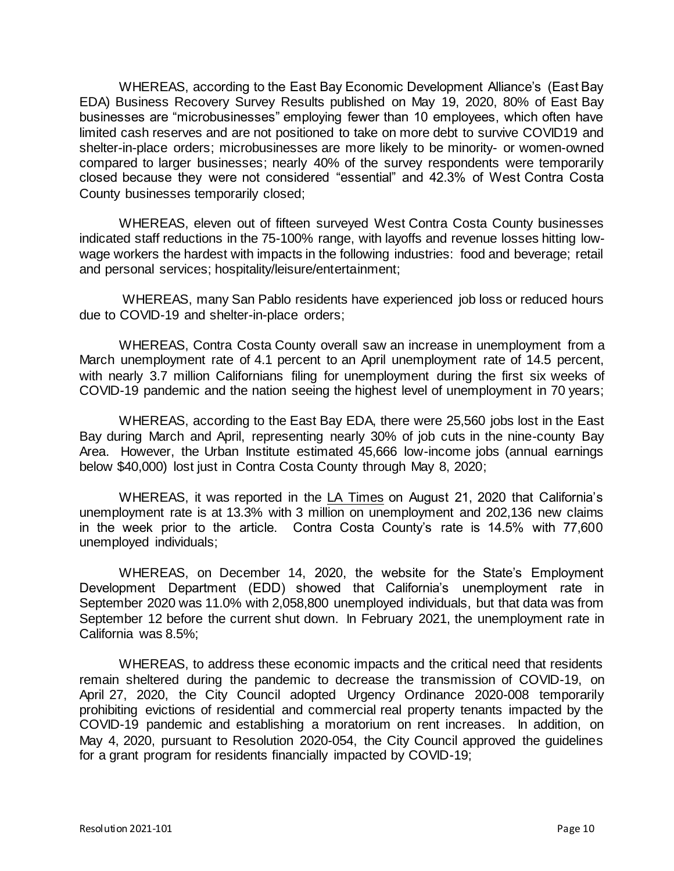WHEREAS, according to the East Bay Economic Development Alliance's (East Bay EDA) Business Recovery Survey Results published on May 19, 2020, 80% of East Bay businesses are "microbusinesses" employing fewer than 10 employees, which often have limited cash reserves and are not positioned to take on more debt to survive COVID19 and shelter-in-place orders; microbusinesses are more likely to be minority- or women-owned compared to larger businesses; nearly 40% of the survey respondents were temporarily closed because they were not considered "essential" and 42.3% of West Contra Costa County businesses temporarily closed;

WHEREAS, eleven out of fifteen surveyed West Contra Costa County businesses indicated staff reductions in the 75-100% range, with layoffs and revenue losses hitting lowwage workers the hardest with impacts in the following industries: food and beverage; retail and personal services; hospitality/leisure/entertainment;

WHEREAS, many San Pablo residents have experienced job loss or reduced hours due to COVID-19 and shelter-in-place orders;

WHEREAS, Contra Costa County overall saw an increase in unemployment from a March unemployment rate of 4.1 percent to an April unemployment rate of 14.5 percent, with nearly 3.7 million Californians filing for unemployment during the first six weeks of COVID-19 pandemic and the nation seeing the highest level of unemployment in 70 years;

WHEREAS, according to the East Bay EDA, there were 25,560 jobs lost in the East Bay during March and April, representing nearly 30% of job cuts in the nine-county Bay Area. However, the Urban Institute estimated 45,666 low-income jobs (annual earnings below \$40,000) lost just in Contra Costa County through May 8, 2020;

WHEREAS, it was reported in the LA Times on August 21, 2020 that California's unemployment rate is at 13.3% with 3 million on unemployment and 202,136 new claims in the week prior to the article. Contra Costa County's rate is 14.5% with 77,600 unemployed individuals;

WHEREAS, on December 14, 2020, the website for the State's Employment Development Department (EDD) showed that California's unemployment rate in September 2020 was 11.0% with 2,058,800 unemployed individuals, but that data was from September 12 before the current shut down. In February 2021, the unemployment rate in California was 8.5%;

WHEREAS, to address these economic impacts and the critical need that residents remain sheltered during the pandemic to decrease the transmission of COVID-19, on April 27, 2020, the City Council adopted Urgency Ordinance 2020-008 temporarily prohibiting evictions of residential and commercial real property tenants impacted by the COVID-19 pandemic and establishing a moratorium on rent increases. In addition, on May 4, 2020, pursuant to Resolution 2020-054, the City Council approved the guidelines for a grant program for residents financially impacted by COVID-19;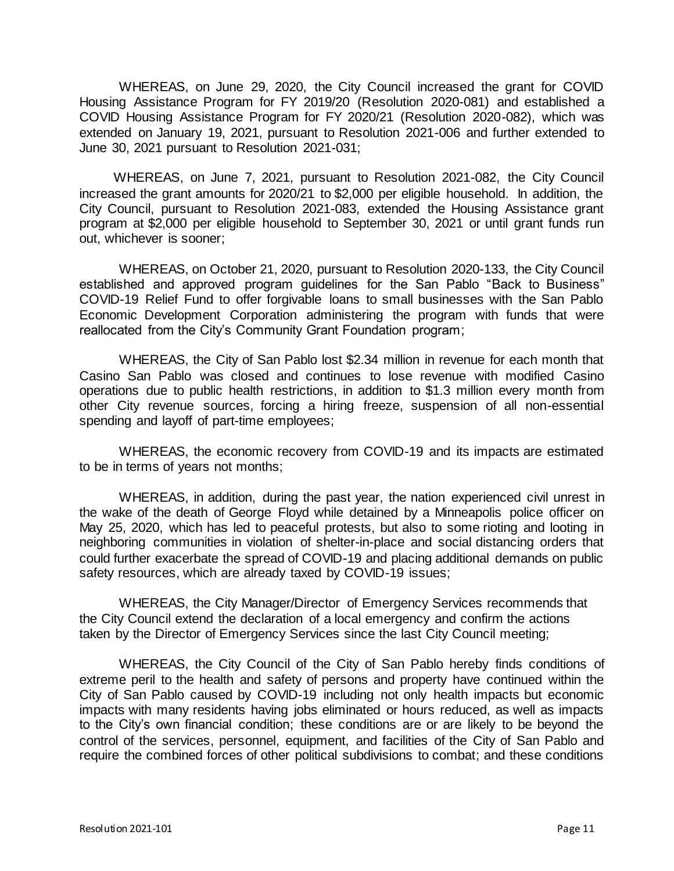WHEREAS, on June 29, 2020, the City Council increased the grant for COVID Housing Assistance Program for FY 2019/20 (Resolution 2020-081) and established a COVID Housing Assistance Program for FY 2020/21 (Resolution 2020-082), which was extended on January 19, 2021, pursuant to Resolution 2021-006 and further extended to June 30, 2021 pursuant to Resolution 2021-031;

WHEREAS, on June 7, 2021, pursuant to Resolution 2021-082, the City Council increased the grant amounts for 2020/21 to \$2,000 per eligible household. In addition, the City Council, pursuant to Resolution 2021-083, extended the Housing Assistance grant program at \$2,000 per eligible household to September 30, 2021 or until grant funds run out, whichever is sooner;

WHEREAS, on October 21, 2020, pursuant to Resolution 2020-133, the City Council established and approved program guidelines for the San Pablo "Back to Business" COVID-19 Relief Fund to offer forgivable loans to small businesses with the San Pablo Economic Development Corporation administering the program with funds that were reallocated from the City's Community Grant Foundation program;

WHEREAS, the City of San Pablo lost \$2.34 million in revenue for each month that Casino San Pablo was closed and continues to lose revenue with modified Casino operations due to public health restrictions, in addition to \$1.3 million every month from other City revenue sources, forcing a hiring freeze, suspension of all non-essential spending and layoff of part-time employees;

WHEREAS, the economic recovery from COVID-19 and its impacts are estimated to be in terms of years not months;

WHEREAS, in addition, during the past year, the nation experienced civil unrest in the wake of the death of George Floyd while detained by a Minneapolis police officer on May 25, 2020, which has led to peaceful protests, but also to some rioting and looting in neighboring communities in violation of shelter-in-place and social distancing orders that could further exacerbate the spread of COVID-19 and placing additional demands on public safety resources, which are already taxed by COVID-19 issues;

WHEREAS, the City Manager/Director of Emergency Services recommends that the City Council extend the declaration of a local emergency and confirm the actions taken by the Director of Emergency Services since the last City Council meeting;

WHEREAS, the City Council of the City of San Pablo hereby finds conditions of extreme peril to the health and safety of persons and property have continued within the City of San Pablo caused by COVID-19 including not only health impacts but economic impacts with many residents having jobs eliminated or hours reduced, as well as impacts to the City's own financial condition; these conditions are or are likely to be beyond the control of the services, personnel, equipment, and facilities of the City of San Pablo and require the combined forces of other political subdivisions to combat; and these conditions